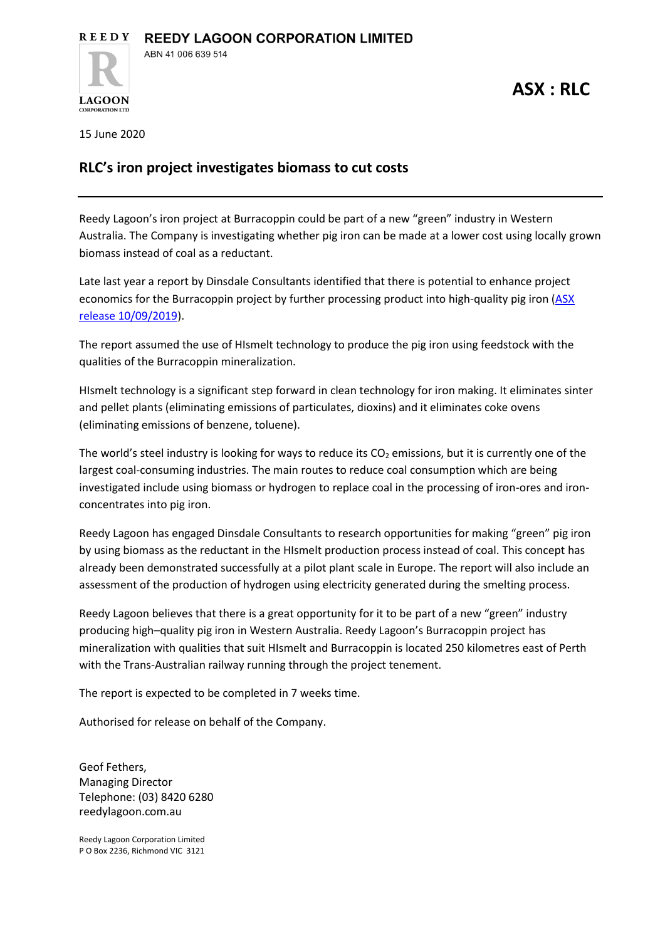15 June 2020

**LAGOON** 

## **RLC's iron project investigates biomass to cut costs**

Reedy Lagoon's iron project at Burracoppin could be part of a new "green" industry in Western Australia. The Company is investigating whether pig iron can be made at a lower cost using locally grown biomass instead of coal as a reductant.

Late last year a report by Dinsdale Consultants identified that there is potential to enhance project economics for the Burracoppin project by further processing product into high-quality pig iron [\(ASX](https://www.reedylagoon.com.au/wp-content/uploads/2019/09/ASX_19-09-10_Burracoppin-HIsmelt.pdf)  [release 10/09/2019\)](https://www.reedylagoon.com.au/wp-content/uploads/2019/09/ASX_19-09-10_Burracoppin-HIsmelt.pdf).

The report assumed the use of HIsmelt technology to produce the pig iron using feedstock with the qualities of the Burracoppin mineralization.

HIsmelt technology is a significant step forward in clean technology for iron making. It eliminates sinter and pellet plants (eliminating emissions of particulates, dioxins) and it eliminates coke ovens (eliminating emissions of benzene, toluene).

The world's steel industry is looking for ways to reduce its  $CO<sub>2</sub>$  emissions, but it is currently one of the largest coal-consuming industries. The main routes to reduce coal consumption which are being investigated include using biomass or hydrogen to replace coal in the processing of iron-ores and ironconcentrates into pig iron.

Reedy Lagoon has engaged Dinsdale Consultants to research opportunities for making "green" pig iron by using biomass as the reductant in the HIsmelt production process instead of coal. This concept has already been demonstrated successfully at a pilot plant scale in Europe. The report will also include an assessment of the production of hydrogen using electricity generated during the smelting process.

Reedy Lagoon believes that there is a great opportunity for it to be part of a new "green" industry producing high–quality pig iron in Western Australia. Reedy Lagoon's Burracoppin project has mineralization with qualities that suit HIsmelt and Burracoppin is located 250 kilometres east of Perth with the Trans-Australian railway running through the project tenement.

The report is expected to be completed in 7 weeks time.

Authorised for release on behalf of the Company.

Geof Fethers, Managing Director Telephone: (03) 8420 6280 reedylagoon.com.au

Reedy Lagoon Corporation Limited P O Box 2236, Richmond VIC 3121